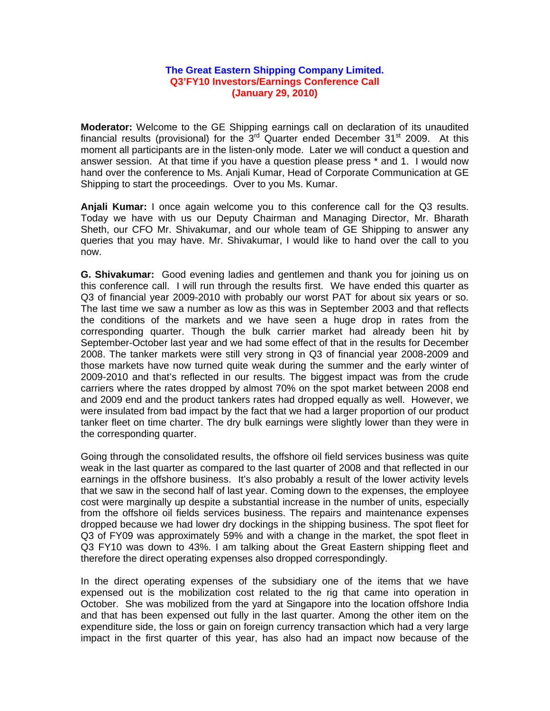## **The Great Eastern Shipping Company Limited. Q3'FY10 Investors/Earnings Conference Call (January 29, 2010)**

**Moderator:** Welcome to the GE Shipping earnings call on declaration of its unaudited financial results (provisional) for the  $3<sup>rd</sup>$  Quarter ended December 31<sup>st</sup> 2009. At this moment all participants are in the listen-only mode. Later we will conduct a question and answer session. At that time if you have a question please press \* and 1. I would now hand over the conference to Ms. Anjali Kumar, Head of Corporate Communication at GE Shipping to start the proceedings. Over to you Ms. Kumar.

**Anjali Kumar:** I once again welcome you to this conference call for the Q3 results. Today we have with us our Deputy Chairman and Managing Director, Mr. Bharath Sheth, our CFO Mr. Shivakumar, and our whole team of GE Shipping to answer any queries that you may have. Mr. Shivakumar, I would like to hand over the call to you now.

**G. Shivakumar:** Good evening ladies and gentlemen and thank you for joining us on this conference call. I will run through the results first. We have ended this quarter as Q3 of financial year 2009-2010 with probably our worst PAT for about six years or so. The last time we saw a number as low as this was in September 2003 and that reflects the conditions of the markets and we have seen a huge drop in rates from the corresponding quarter. Though the bulk carrier market had already been hit by September-October last year and we had some effect of that in the results for December 2008. The tanker markets were still very strong in Q3 of financial year 2008-2009 and those markets have now turned quite weak during the summer and the early winter of 2009-2010 and that's reflected in our results. The biggest impact was from the crude carriers where the rates dropped by almost 70% on the spot market between 2008 end and 2009 end and the product tankers rates had dropped equally as well. However, we were insulated from bad impact by the fact that we had a larger proportion of our product tanker fleet on time charter. The dry bulk earnings were slightly lower than they were in the corresponding quarter.

Going through the consolidated results, the offshore oil field services business was quite weak in the last quarter as compared to the last quarter of 2008 and that reflected in our earnings in the offshore business. It's also probably a result of the lower activity levels that we saw in the second half of last year. Coming down to the expenses, the employee cost were marginally up despite a substantial increase in the number of units, especially from the offshore oil fields services business. The repairs and maintenance expenses dropped because we had lower dry dockings in the shipping business. The spot fleet for Q3 of FY09 was approximately 59% and with a change in the market, the spot fleet in Q3 FY10 was down to 43%. I am talking about the Great Eastern shipping fleet and therefore the direct operating expenses also dropped correspondingly.

In the direct operating expenses of the subsidiary one of the items that we have expensed out is the mobilization cost related to the rig that came into operation in October. She was mobilized from the yard at Singapore into the location offshore India and that has been expensed out fully in the last quarter. Among the other item on the expenditure side, the loss or gain on foreign currency transaction which had a very large impact in the first quarter of this year, has also had an impact now because of the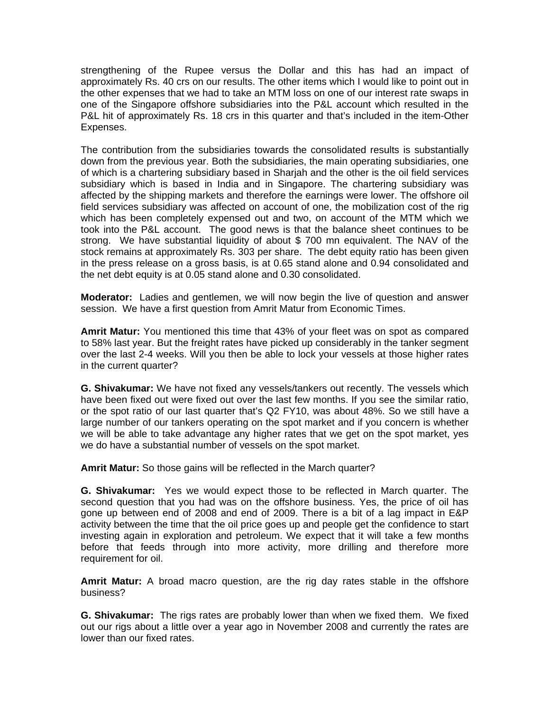strengthening of the Rupee versus the Dollar and this has had an impact of approximately Rs. 40 crs on our results. The other items which I would like to point out in the other expenses that we had to take an MTM loss on one of our interest rate swaps in one of the Singapore offshore subsidiaries into the P&L account which resulted in the P&L hit of approximately Rs. 18 crs in this quarter and that's included in the item-Other Expenses.

The contribution from the subsidiaries towards the consolidated results is substantially down from the previous year. Both the subsidiaries, the main operating subsidiaries, one of which is a chartering subsidiary based in Sharjah and the other is the oil field services subsidiary which is based in India and in Singapore. The chartering subsidiary was affected by the shipping markets and therefore the earnings were lower. The offshore oil field services subsidiary was affected on account of one, the mobilization cost of the rig which has been completely expensed out and two, on account of the MTM which we took into the P&L account. The good news is that the balance sheet continues to be strong. We have substantial liquidity of about \$ 700 mn equivalent. The NAV of the stock remains at approximately Rs. 303 per share. The debt equity ratio has been given in the press release on a gross basis, is at 0.65 stand alone and 0.94 consolidated and the net debt equity is at 0.05 stand alone and 0.30 consolidated.

**Moderator:** Ladies and gentlemen, we will now begin the live of question and answer session. We have a first question from Amrit Matur from Economic Times.

**Amrit Matur:** You mentioned this time that 43% of your fleet was on spot as compared to 58% last year. But the freight rates have picked up considerably in the tanker segment over the last 2-4 weeks. Will you then be able to lock your vessels at those higher rates in the current quarter?

**G. Shivakumar:** We have not fixed any vessels/tankers out recently. The vessels which have been fixed out were fixed out over the last few months. If you see the similar ratio, or the spot ratio of our last quarter that's Q2 FY10, was about 48%. So we still have a large number of our tankers operating on the spot market and if you concern is whether we will be able to take advantage any higher rates that we get on the spot market, yes we do have a substantial number of vessels on the spot market.

**Amrit Matur:** So those gains will be reflected in the March quarter?

**G. Shivakumar:** Yes we would expect those to be reflected in March quarter. The second question that you had was on the offshore business. Yes, the price of oil has gone up between end of 2008 and end of 2009. There is a bit of a lag impact in E&P activity between the time that the oil price goes up and people get the confidence to start investing again in exploration and petroleum. We expect that it will take a few months before that feeds through into more activity, more drilling and therefore more requirement for oil.

**Amrit Matur:** A broad macro question, are the rig day rates stable in the offshore business?

**G. Shivakumar:** The rigs rates are probably lower than when we fixed them. We fixed out our rigs about a little over a year ago in November 2008 and currently the rates are lower than our fixed rates.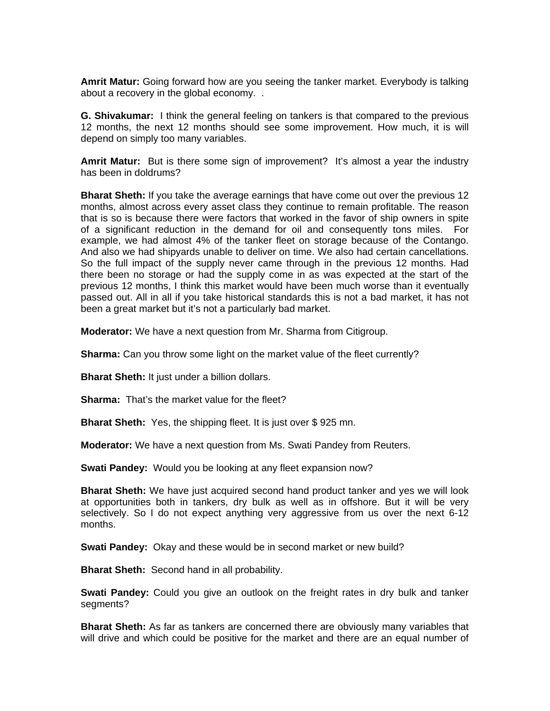**Amrit Matur:** Going forward how are you seeing the tanker market. Everybody is talking about a recovery in the global economy. .

**G. Shivakumar:** I think the general feeling on tankers is that compared to the previous 12 months, the next 12 months should see some improvement. How much, it is will depend on simply too many variables.

**Amrit Matur:** But is there some sign of improvement? It's almost a year the industry has been in doldrums?

**Bharat Sheth:** If you take the average earnings that have come out over the previous 12 months, almost across every asset class they continue to remain profitable. The reason that is so is because there were factors that worked in the favor of ship owners in spite of a significant reduction in the demand for oil and consequently tons miles. For example, we had almost 4% of the tanker fleet on storage because of the Contango. And also we had shipyards unable to deliver on time. We also had certain cancellations. So the full impact of the supply never came through in the previous 12 months. Had there been no storage or had the supply come in as was expected at the start of the previous 12 months, I think this market would have been much worse than it eventually passed out. All in all if you take historical standards this is not a bad market, it has not been a great market but it's not a particularly bad market.

**Moderator:** We have a next question from Mr. Sharma from Citigroup.

**Sharma:** Can you throw some light on the market value of the fleet currently?

**Bharat Sheth:** It just under a billion dollars.

**Sharma:** That's the market value for the fleet?

**Bharat Sheth:** Yes, the shipping fleet. It is just over \$925 mn.

**Moderator:** We have a next question from Ms. Swati Pandey from Reuters.

**Swati Pandey:** Would you be looking at any fleet expansion now?

**Bharat Sheth:** We have just acquired second hand product tanker and yes we will look at opportunities both in tankers, dry bulk as well as in offshore. But it will be very selectively. So I do not expect anything very aggressive from us over the next 6-12 months.

**Swati Pandey:** Okay and these would be in second market or new build?

**Bharat Sheth:** Second hand in all probability.

**Swati Pandey:** Could you give an outlook on the freight rates in dry bulk and tanker segments?

**Bharat Sheth:** As far as tankers are concerned there are obviously many variables that will drive and which could be positive for the market and there are an equal number of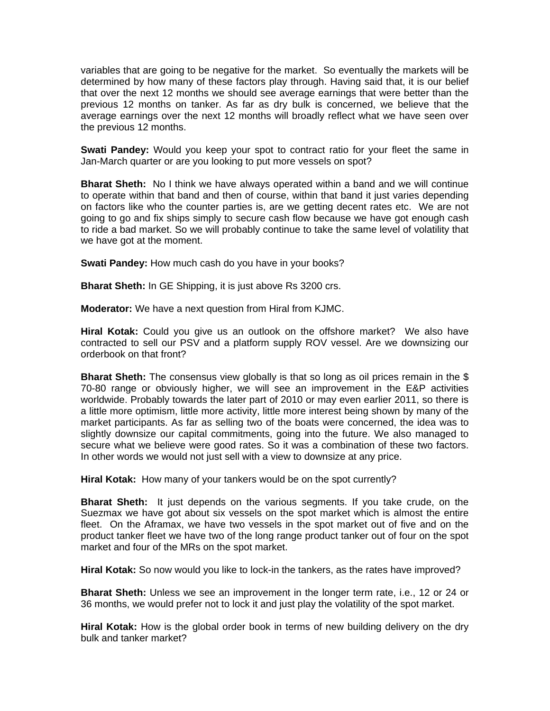variables that are going to be negative for the market. So eventually the markets will be determined by how many of these factors play through. Having said that, it is our belief that over the next 12 months we should see average earnings that were better than the previous 12 months on tanker. As far as dry bulk is concerned, we believe that the average earnings over the next 12 months will broadly reflect what we have seen over the previous 12 months.

**Swati Pandey:** Would you keep your spot to contract ratio for your fleet the same in Jan-March quarter or are you looking to put more vessels on spot?

**Bharat Sheth:** No I think we have always operated within a band and we will continue to operate within that band and then of course, within that band it just varies depending on factors like who the counter parties is, are we getting decent rates etc. We are not going to go and fix ships simply to secure cash flow because we have got enough cash to ride a bad market. So we will probably continue to take the same level of volatility that we have got at the moment.

**Swati Pandey:** How much cash do you have in your books?

**Bharat Sheth:** In GE Shipping, it is just above Rs 3200 crs.

**Moderator:** We have a next question from Hiral from KJMC.

**Hiral Kotak:** Could you give us an outlook on the offshore market? We also have contracted to sell our PSV and a platform supply ROV vessel. Are we downsizing our orderbook on that front?

**Bharat Sheth:** The consensus view globally is that so long as oil prices remain in the \$ 70-80 range or obviously higher, we will see an improvement in the E&P activities worldwide. Probably towards the later part of 2010 or may even earlier 2011, so there is a little more optimism, little more activity, little more interest being shown by many of the market participants. As far as selling two of the boats were concerned, the idea was to slightly downsize our capital commitments, going into the future. We also managed to secure what we believe were good rates. So it was a combination of these two factors. In other words we would not just sell with a view to downsize at any price.

**Hiral Kotak:** How many of your tankers would be on the spot currently?

**Bharat Sheth:** It just depends on the various segments. If you take crude, on the Suezmax we have got about six vessels on the spot market which is almost the entire fleet. On the Aframax, we have two vessels in the spot market out of five and on the product tanker fleet we have two of the long range product tanker out of four on the spot market and four of the MRs on the spot market.

**Hiral Kotak:** So now would you like to lock-in the tankers, as the rates have improved?

**Bharat Sheth:** Unless we see an improvement in the longer term rate, i.e., 12 or 24 or 36 months, we would prefer not to lock it and just play the volatility of the spot market.

**Hiral Kotak:** How is the global order book in terms of new building delivery on the dry bulk and tanker market?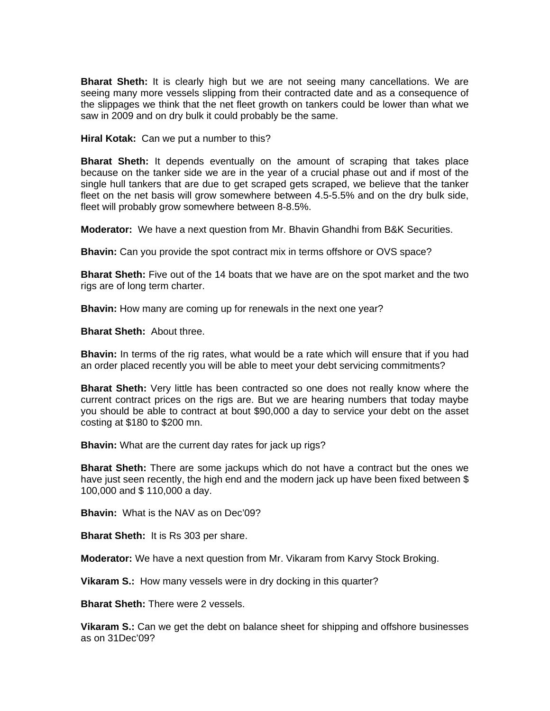**Bharat Sheth:** It is clearly high but we are not seeing many cancellations. We are seeing many more vessels slipping from their contracted date and as a consequence of the slippages we think that the net fleet growth on tankers could be lower than what we saw in 2009 and on dry bulk it could probably be the same.

**Hiral Kotak:** Can we put a number to this?

**Bharat Sheth:** It depends eventually on the amount of scraping that takes place because on the tanker side we are in the year of a crucial phase out and if most of the single hull tankers that are due to get scraped gets scraped, we believe that the tanker fleet on the net basis will grow somewhere between 4.5-5.5% and on the dry bulk side, fleet will probably grow somewhere between 8-8.5%.

**Moderator:** We have a next question from Mr. Bhavin Ghandhi from B&K Securities.

**Bhavin:** Can you provide the spot contract mix in terms offshore or OVS space?

**Bharat Sheth:** Five out of the 14 boats that we have are on the spot market and the two rigs are of long term charter.

**Bhavin:** How many are coming up for renewals in the next one year?

**Bharat Sheth:** About three.

**Bhavin:** In terms of the rig rates, what would be a rate which will ensure that if you had an order placed recently you will be able to meet your debt servicing commitments?

**Bharat Sheth:** Very little has been contracted so one does not really know where the current contract prices on the rigs are. But we are hearing numbers that today maybe you should be able to contract at bout \$90,000 a day to service your debt on the asset costing at \$180 to \$200 mn.

**Bhavin:** What are the current day rates for jack up rigs?

**Bharat Sheth:** There are some jackups which do not have a contract but the ones we have just seen recently, the high end and the modern jack up have been fixed between \$ 100,000 and \$ 110,000 a day.

**Bhavin:** What is the NAV as on Dec'09?

**Bharat Sheth:** It is Rs 303 per share.

**Moderator:** We have a next question from Mr. Vikaram from Karvy Stock Broking.

**Vikaram S.:** How many vessels were in dry docking in this quarter?

**Bharat Sheth:** There were 2 vessels.

**Vikaram S.:** Can we get the debt on balance sheet for shipping and offshore businesses as on 31Dec'09?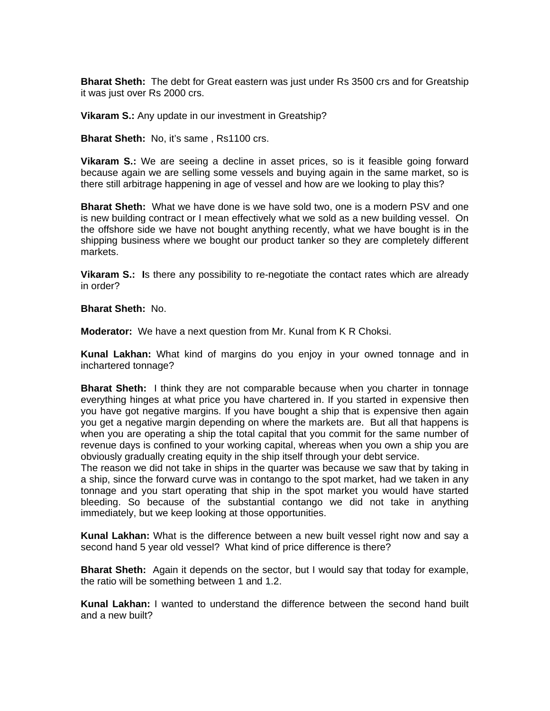**Bharat Sheth:** The debt for Great eastern was just under Rs 3500 crs and for Greatship it was just over Rs 2000 crs.

**Vikaram S.:** Any update in our investment in Greatship?

**Bharat Sheth:** No, it's same , Rs1100 crs.

**Vikaram S.:** We are seeing a decline in asset prices, so is it feasible going forward because again we are selling some vessels and buying again in the same market, so is there still arbitrage happening in age of vessel and how are we looking to play this?

**Bharat Sheth:** What we have done is we have sold two, one is a modern PSV and one is new building contract or I mean effectively what we sold as a new building vessel. On the offshore side we have not bought anything recently, what we have bought is in the shipping business where we bought our product tanker so they are completely different markets.

**Vikaram S.: I**s there any possibility to re-negotiate the contact rates which are already in order?

**Bharat Sheth:** No.

**Moderator:** We have a next question from Mr. Kunal from K R Choksi.

**Kunal Lakhan:** What kind of margins do you enjoy in your owned tonnage and in inchartered tonnage?

**Bharat Sheth:** I think they are not comparable because when you charter in tonnage everything hinges at what price you have chartered in. If you started in expensive then you have got negative margins. If you have bought a ship that is expensive then again you get a negative margin depending on where the markets are. But all that happens is when you are operating a ship the total capital that you commit for the same number of revenue days is confined to your working capital, whereas when you own a ship you are obviously gradually creating equity in the ship itself through your debt service.

The reason we did not take in ships in the quarter was because we saw that by taking in a ship, since the forward curve was in contango to the spot market, had we taken in any tonnage and you start operating that ship in the spot market you would have started bleeding. So because of the substantial contango we did not take in anything immediately, but we keep looking at those opportunities.

**Kunal Lakhan:** What is the difference between a new built vessel right now and say a second hand 5 year old vessel? What kind of price difference is there?

**Bharat Sheth:** Again it depends on the sector, but I would say that today for example, the ratio will be something between 1 and 1.2.

**Kunal Lakhan:** I wanted to understand the difference between the second hand built and a new built?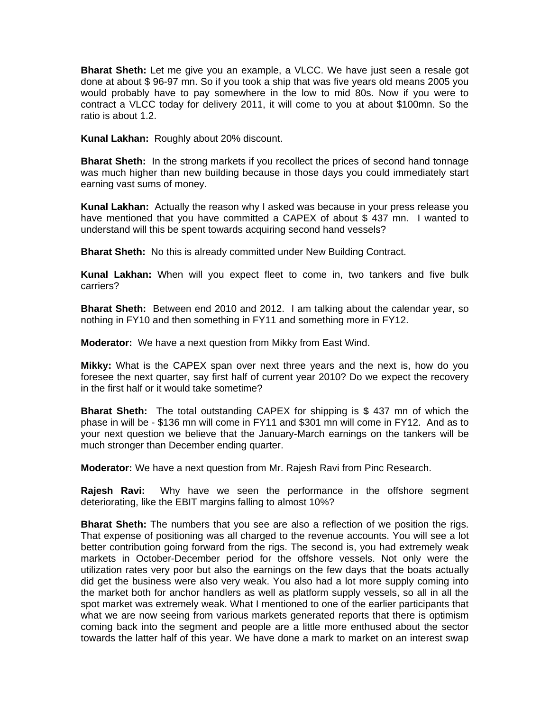**Bharat Sheth:** Let me give you an example, a VLCC. We have just seen a resale got done at about \$ 96-97 mn. So if you took a ship that was five years old means 2005 you would probably have to pay somewhere in the low to mid 80s. Now if you were to contract a VLCC today for delivery 2011, it will come to you at about \$100mn. So the ratio is about 1.2.

**Kunal Lakhan:** Roughly about 20% discount.

**Bharat Sheth:** In the strong markets if you recollect the prices of second hand tonnage was much higher than new building because in those days you could immediately start earning vast sums of money.

**Kunal Lakhan:** Actually the reason why I asked was because in your press release you have mentioned that you have committed a CAPEX of about \$ 437 mn. I wanted to understand will this be spent towards acquiring second hand vessels?

**Bharat Sheth:** No this is already committed under New Building Contract.

**Kunal Lakhan:** When will you expect fleet to come in, two tankers and five bulk carriers?

**Bharat Sheth:** Between end 2010 and 2012. I am talking about the calendar year, so nothing in FY10 and then something in FY11 and something more in FY12.

**Moderator:** We have a next question from Mikky from East Wind.

**Mikky:** What is the CAPEX span over next three years and the next is, how do you foresee the next quarter, say first half of current year 2010? Do we expect the recovery in the first half or it would take sometime?

**Bharat Sheth:** The total outstanding CAPEX for shipping is \$ 437 mn of which the phase in will be - \$136 mn will come in FY11 and \$301 mn will come in FY12. And as to your next question we believe that the January-March earnings on the tankers will be much stronger than December ending quarter.

**Moderator:** We have a next question from Mr. Rajesh Ravi from Pinc Research.

**Rajesh Ravi:** Why have we seen the performance in the offshore segment deteriorating, like the EBIT margins falling to almost 10%?

**Bharat Sheth:** The numbers that you see are also a reflection of we position the rigs. That expense of positioning was all charged to the revenue accounts. You will see a lot better contribution going forward from the rigs. The second is, you had extremely weak markets in October-December period for the offshore vessels. Not only were the utilization rates very poor but also the earnings on the few days that the boats actually did get the business were also very weak. You also had a lot more supply coming into the market both for anchor handlers as well as platform supply vessels, so all in all the spot market was extremely weak. What I mentioned to one of the earlier participants that what we are now seeing from various markets generated reports that there is optimism coming back into the segment and people are a little more enthused about the sector towards the latter half of this year. We have done a mark to market on an interest swap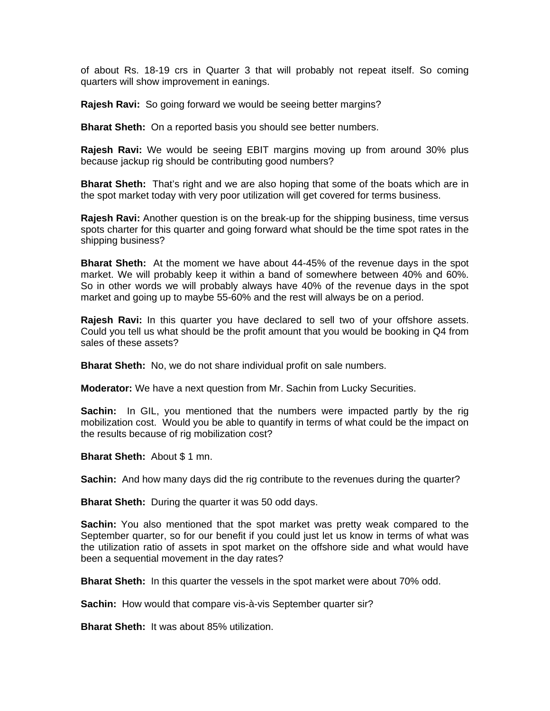of about Rs. 18-19 crs in Quarter 3 that will probably not repeat itself. So coming quarters will show improvement in eanings.

**Rajesh Ravi:** So going forward we would be seeing better margins?

**Bharat Sheth:** On a reported basis you should see better numbers.

**Rajesh Ravi:** We would be seeing EBIT margins moving up from around 30% plus because jackup rig should be contributing good numbers?

**Bharat Sheth:** That's right and we are also hoping that some of the boats which are in the spot market today with very poor utilization will get covered for terms business.

**Rajesh Ravi:** Another question is on the break-up for the shipping business, time versus spots charter for this quarter and going forward what should be the time spot rates in the shipping business?

**Bharat Sheth:** At the moment we have about 44-45% of the revenue days in the spot market. We will probably keep it within a band of somewhere between 40% and 60%. So in other words we will probably always have 40% of the revenue days in the spot market and going up to maybe 55-60% and the rest will always be on a period.

**Rajesh Ravi:** In this quarter you have declared to sell two of your offshore assets. Could you tell us what should be the profit amount that you would be booking in Q4 from sales of these assets?

**Bharat Sheth:** No, we do not share individual profit on sale numbers.

**Moderator:** We have a next question from Mr. Sachin from Lucky Securities.

**Sachin:** In GIL, you mentioned that the numbers were impacted partly by the rig mobilization cost. Would you be able to quantify in terms of what could be the impact on the results because of rig mobilization cost?

**Bharat Sheth:** About \$ 1 mn.

**Sachin:** And how many days did the rig contribute to the revenues during the quarter?

**Bharat Sheth:** During the quarter it was 50 odd days.

**Sachin:** You also mentioned that the spot market was pretty weak compared to the September quarter, so for our benefit if you could just let us know in terms of what was the utilization ratio of assets in spot market on the offshore side and what would have been a sequential movement in the day rates?

**Bharat Sheth:** In this quarter the vessels in the spot market were about 70% odd.

**Sachin:** How would that compare vis-à-vis September quarter sir?

**Bharat Sheth:** It was about 85% utilization.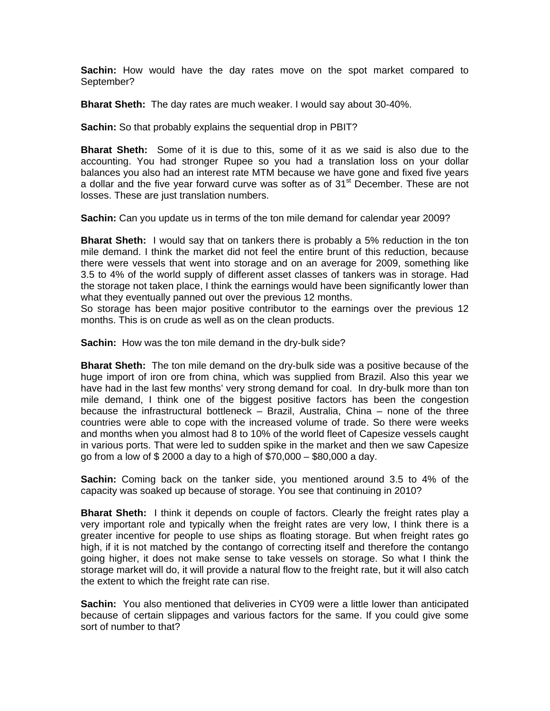**Sachin:** How would have the day rates move on the spot market compared to September?

**Bharat Sheth:** The day rates are much weaker. I would say about 30-40%.

**Sachin:** So that probably explains the sequential drop in PBIT?

**Bharat Sheth:** Some of it is due to this, some of it as we said is also due to the accounting. You had stronger Rupee so you had a translation loss on your dollar balances you also had an interest rate MTM because we have gone and fixed five years a dollar and the five year forward curve was softer as of 31<sup>st</sup> December. These are not losses. These are just translation numbers.

**Sachin:** Can you update us in terms of the ton mile demand for calendar year 2009?

**Bharat Sheth:** I would say that on tankers there is probably a 5% reduction in the ton mile demand. I think the market did not feel the entire brunt of this reduction, because there were vessels that went into storage and on an average for 2009, something like 3.5 to 4% of the world supply of different asset classes of tankers was in storage. Had the storage not taken place, I think the earnings would have been significantly lower than what they eventually panned out over the previous 12 months.

So storage has been major positive contributor to the earnings over the previous 12 months. This is on crude as well as on the clean products.

**Sachin:** How was the ton mile demand in the dry-bulk side?

**Bharat Sheth:** The ton mile demand on the dry-bulk side was a positive because of the huge import of iron ore from china, which was supplied from Brazil. Also this year we have had in the last few months' very strong demand for coal. In dry-bulk more than ton mile demand, I think one of the biggest positive factors has been the congestion because the infrastructural bottleneck – Brazil, Australia, China – none of the three countries were able to cope with the increased volume of trade. So there were weeks and months when you almost had 8 to 10% of the world fleet of Capesize vessels caught in various ports. That were led to sudden spike in the market and then we saw Capesize go from a low of \$ 2000 a day to a high of \$70,000 – \$80,000 a day.

**Sachin:** Coming back on the tanker side, you mentioned around 3.5 to 4% of the capacity was soaked up because of storage. You see that continuing in 2010?

**Bharat Sheth:** I think it depends on couple of factors. Clearly the freight rates play a very important role and typically when the freight rates are very low, I think there is a greater incentive for people to use ships as floating storage. But when freight rates go high, if it is not matched by the contango of correcting itself and therefore the contango going higher, it does not make sense to take vessels on storage. So what I think the storage market will do, it will provide a natural flow to the freight rate, but it will also catch the extent to which the freight rate can rise.

**Sachin:** You also mentioned that deliveries in CY09 were a little lower than anticipated because of certain slippages and various factors for the same. If you could give some sort of number to that?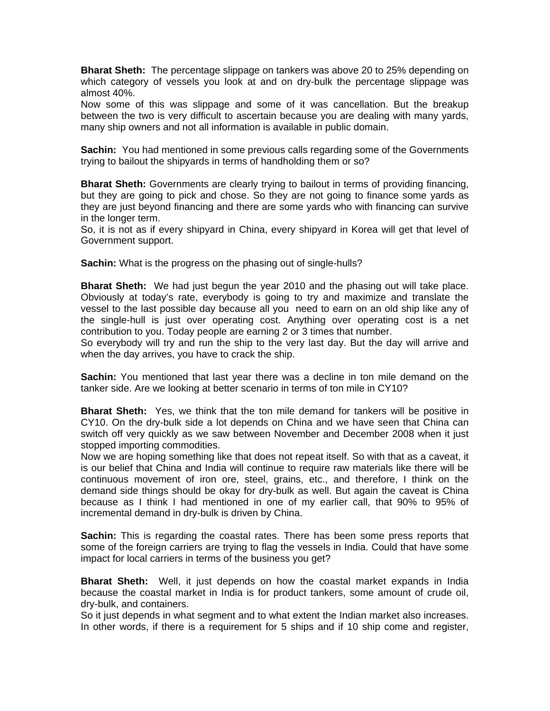**Bharat Sheth:** The percentage slippage on tankers was above 20 to 25% depending on which category of vessels you look at and on dry-bulk the percentage slippage was almost 40%.

Now some of this was slippage and some of it was cancellation. But the breakup between the two is very difficult to ascertain because you are dealing with many yards, many ship owners and not all information is available in public domain.

**Sachin:** You had mentioned in some previous calls regarding some of the Governments trying to bailout the shipyards in terms of handholding them or so?

**Bharat Sheth:** Governments are clearly trying to bailout in terms of providing financing, but they are going to pick and chose. So they are not going to finance some yards as they are just beyond financing and there are some yards who with financing can survive in the longer term.

So, it is not as if every shipyard in China, every shipyard in Korea will get that level of Government support.

**Sachin:** What is the progress on the phasing out of single-hulls?

**Bharat Sheth:** We had just begun the year 2010 and the phasing out will take place. Obviously at today's rate, everybody is going to try and maximize and translate the vessel to the last possible day because all you need to earn on an old ship like any of the single-hull is just over operating cost. Anything over operating cost is a net contribution to you. Today people are earning 2 or 3 times that number.

So everybody will try and run the ship to the very last day. But the day will arrive and when the day arrives, you have to crack the ship.

**Sachin:** You mentioned that last year there was a decline in ton mile demand on the tanker side. Are we looking at better scenario in terms of ton mile in CY10?

**Bharat Sheth:** Yes, we think that the ton mile demand for tankers will be positive in CY10. On the dry-bulk side a lot depends on China and we have seen that China can switch off very quickly as we saw between November and December 2008 when it just stopped importing commodities.

Now we are hoping something like that does not repeat itself. So with that as a caveat, it is our belief that China and India will continue to require raw materials like there will be continuous movement of iron ore, steel, grains, etc., and therefore, I think on the demand side things should be okay for dry-bulk as well. But again the caveat is China because as I think I had mentioned in one of my earlier call, that 90% to 95% of incremental demand in dry-bulk is driven by China.

**Sachin:** This is regarding the coastal rates. There has been some press reports that some of the foreign carriers are trying to flag the vessels in India. Could that have some impact for local carriers in terms of the business you get?

**Bharat Sheth:** Well, it just depends on how the coastal market expands in India because the coastal market in India is for product tankers, some amount of crude oil, dry-bulk, and containers.

So it just depends in what segment and to what extent the Indian market also increases. In other words, if there is a requirement for 5 ships and if 10 ship come and register,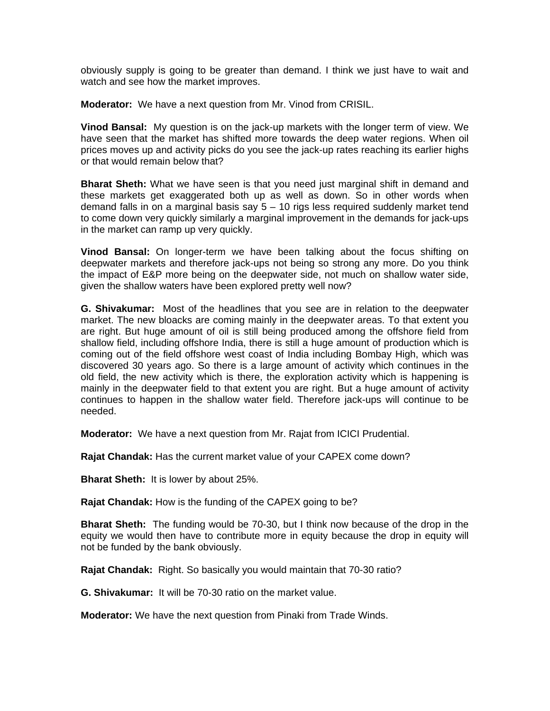obviously supply is going to be greater than demand. I think we just have to wait and watch and see how the market improves.

**Moderator:** We have a next question from Mr. Vinod from CRISIL.

**Vinod Bansal:** My question is on the jack-up markets with the longer term of view. We have seen that the market has shifted more towards the deep water regions. When oil prices moves up and activity picks do you see the jack-up rates reaching its earlier highs or that would remain below that?

**Bharat Sheth:** What we have seen is that you need just marginal shift in demand and these markets get exaggerated both up as well as down. So in other words when demand falls in on a marginal basis say  $5 - 10$  rigs less required suddenly market tend to come down very quickly similarly a marginal improvement in the demands for jack-ups in the market can ramp up very quickly.

**Vinod Bansal:** On longer-term we have been talking about the focus shifting on deepwater markets and therefore jack-ups not being so strong any more. Do you think the impact of E&P more being on the deepwater side, not much on shallow water side, given the shallow waters have been explored pretty well now?

**G. Shivakumar:** Most of the headlines that you see are in relation to the deepwater market. The new bloacks are coming mainly in the deepwater areas. To that extent you are right. But huge amount of oil is still being produced among the offshore field from shallow field, including offshore India, there is still a huge amount of production which is coming out of the field offshore west coast of India including Bombay High, which was discovered 30 years ago. So there is a large amount of activity which continues in the old field, the new activity which is there, the exploration activity which is happening is mainly in the deepwater field to that extent you are right. But a huge amount of activity continues to happen in the shallow water field. Therefore jack-ups will continue to be needed.

**Moderator:** We have a next question from Mr. Rajat from ICICI Prudential.

**Rajat Chandak:** Has the current market value of your CAPEX come down?

**Bharat Sheth:** It is lower by about 25%.

**Rajat Chandak:** How is the funding of the CAPEX going to be?

**Bharat Sheth:** The funding would be 70-30, but I think now because of the drop in the equity we would then have to contribute more in equity because the drop in equity will not be funded by the bank obviously.

**Rajat Chandak:** Right. So basically you would maintain that 70-30 ratio?

**G. Shivakumar:** It will be 70-30 ratio on the market value.

**Moderator:** We have the next question from Pinaki from Trade Winds.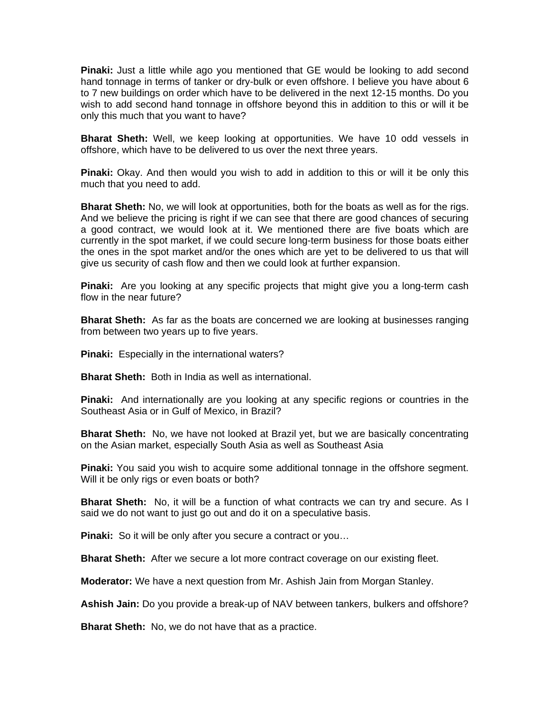**Pinaki:** Just a little while ago you mentioned that GE would be looking to add second hand tonnage in terms of tanker or dry-bulk or even offshore. I believe you have about 6 to 7 new buildings on order which have to be delivered in the next 12-15 months. Do you wish to add second hand tonnage in offshore beyond this in addition to this or will it be only this much that you want to have?

**Bharat Sheth:** Well, we keep looking at opportunities. We have 10 odd vessels in offshore, which have to be delivered to us over the next three years.

**Pinaki:** Okay. And then would you wish to add in addition to this or will it be only this much that you need to add.

**Bharat Sheth:** No, we will look at opportunities, both for the boats as well as for the rigs. And we believe the pricing is right if we can see that there are good chances of securing a good contract, we would look at it. We mentioned there are five boats which are currently in the spot market, if we could secure long-term business for those boats either the ones in the spot market and/or the ones which are yet to be delivered to us that will give us security of cash flow and then we could look at further expansion.

**Pinaki:** Are you looking at any specific projects that might give you a long-term cash flow in the near future?

**Bharat Sheth:** As far as the boats are concerned we are looking at businesses ranging from between two years up to five years.

**Pinaki:** Especially in the international waters?

**Bharat Sheth:** Both in India as well as international.

**Pinaki:** And internationally are you looking at any specific regions or countries in the Southeast Asia or in Gulf of Mexico, in Brazil?

**Bharat Sheth:** No, we have not looked at Brazil yet, but we are basically concentrating on the Asian market, especially South Asia as well as Southeast Asia

**Pinaki:** You said you wish to acquire some additional tonnage in the offshore segment. Will it be only rigs or even boats or both?

**Bharat Sheth:** No, it will be a function of what contracts we can try and secure. As I said we do not want to just go out and do it on a speculative basis.

**Pinaki:** So it will be only after you secure a contract or you...

**Bharat Sheth:** After we secure a lot more contract coverage on our existing fleet.

**Moderator:** We have a next question from Mr. Ashish Jain from Morgan Stanley.

**Ashish Jain:** Do you provide a break-up of NAV between tankers, bulkers and offshore?

**Bharat Sheth:** No, we do not have that as a practice.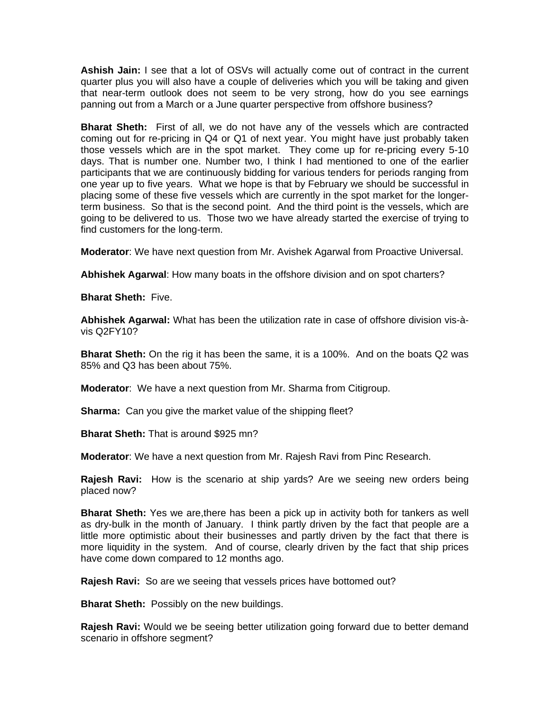**Ashish Jain:** I see that a lot of OSVs will actually come out of contract in the current quarter plus you will also have a couple of deliveries which you will be taking and given that near-term outlook does not seem to be very strong, how do you see earnings panning out from a March or a June quarter perspective from offshore business?

**Bharat Sheth:** First of all, we do not have any of the vessels which are contracted coming out for re-pricing in Q4 or Q1 of next year. You might have just probably taken those vessels which are in the spot market. They come up for re-pricing every 5-10 days. That is number one. Number two, I think I had mentioned to one of the earlier participants that we are continuously bidding for various tenders for periods ranging from one year up to five years. What we hope is that by February we should be successful in placing some of these five vessels which are currently in the spot market for the longerterm business. So that is the second point. And the third point is the vessels, which are going to be delivered to us. Those two we have already started the exercise of trying to find customers for the long-term.

**Moderator**: We have next question from Mr. Avishek Agarwal from Proactive Universal.

**Abhishek Agarwal**: How many boats in the offshore division and on spot charters?

**Bharat Sheth:** Five.

**Abhishek Agarwal:** What has been the utilization rate in case of offshore division vis-àvis Q2FY10?

**Bharat Sheth:** On the rig it has been the same, it is a 100%. And on the boats Q2 was 85% and Q3 has been about 75%.

**Moderator**: We have a next question from Mr. Sharma from Citigroup.

**Sharma:** Can you give the market value of the shipping fleet?

**Bharat Sheth:** That is around \$925 mn?

**Moderator**: We have a next question from Mr. Rajesh Ravi from Pinc Research.

**Rajesh Ravi:** How is the scenario at ship yards? Are we seeing new orders being placed now?

**Bharat Sheth:** Yes we are,there has been a pick up in activity both for tankers as well as dry-bulk in the month of January. I think partly driven by the fact that people are a little more optimistic about their businesses and partly driven by the fact that there is more liquidity in the system. And of course, clearly driven by the fact that ship prices have come down compared to 12 months ago.

**Rajesh Ravi:** So are we seeing that vessels prices have bottomed out?

**Bharat Sheth:** Possibly on the new buildings.

**Rajesh Ravi:** Would we be seeing better utilization going forward due to better demand scenario in offshore segment?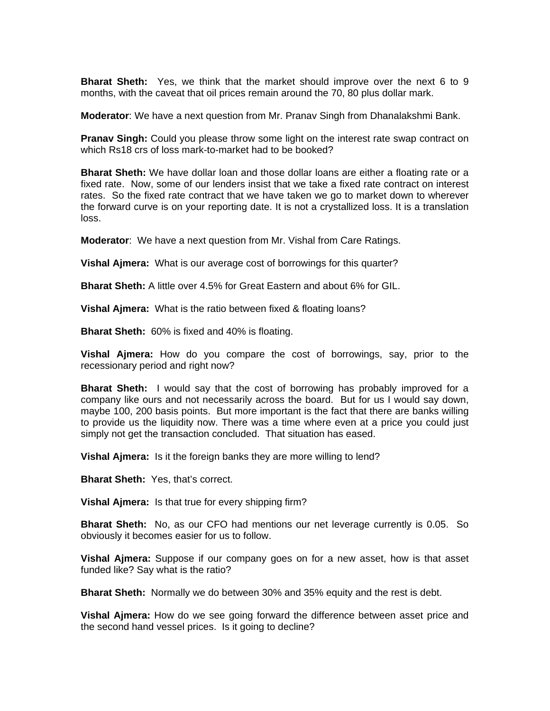**Bharat Sheth:** Yes, we think that the market should improve over the next 6 to 9 months, with the caveat that oil prices remain around the 70, 80 plus dollar mark.

**Moderator**: We have a next question from Mr. Pranav Singh from Dhanalakshmi Bank.

**Pranav Singh:** Could you please throw some light on the interest rate swap contract on which Rs18 crs of loss mark-to-market had to be booked?

**Bharat Sheth:** We have dollar loan and those dollar loans are either a floating rate or a fixed rate. Now, some of our lenders insist that we take a fixed rate contract on interest rates. So the fixed rate contract that we have taken we go to market down to wherever the forward curve is on your reporting date. It is not a crystallized loss. It is a translation loss.

**Moderator**: We have a next question from Mr. Vishal from Care Ratings.

**Vishal Ajmera:** What is our average cost of borrowings for this quarter?

**Bharat Sheth:** A little over 4.5% for Great Eastern and about 6% for GIL.

**Vishal Ajmera:** What is the ratio between fixed & floating loans?

**Bharat Sheth:** 60% is fixed and 40% is floating.

**Vishal Ajmera:** How do you compare the cost of borrowings, say, prior to the recessionary period and right now?

**Bharat Sheth:** I would say that the cost of borrowing has probably improved for a company like ours and not necessarily across the board. But for us I would say down, maybe 100, 200 basis points. But more important is the fact that there are banks willing to provide us the liquidity now. There was a time where even at a price you could just simply not get the transaction concluded. That situation has eased.

**Vishal Ajmera:** Is it the foreign banks they are more willing to lend?

**Bharat Sheth:** Yes, that's correct.

**Vishal Ajmera:** Is that true for every shipping firm?

**Bharat Sheth:** No, as our CFO had mentions our net leverage currently is 0.05. So obviously it becomes easier for us to follow.

**Vishal Ajmera:** Suppose if our company goes on for a new asset, how is that asset funded like? Say what is the ratio?

**Bharat Sheth:** Normally we do between 30% and 35% equity and the rest is debt.

**Vishal Ajmera:** How do we see going forward the difference between asset price and the second hand vessel prices. Is it going to decline?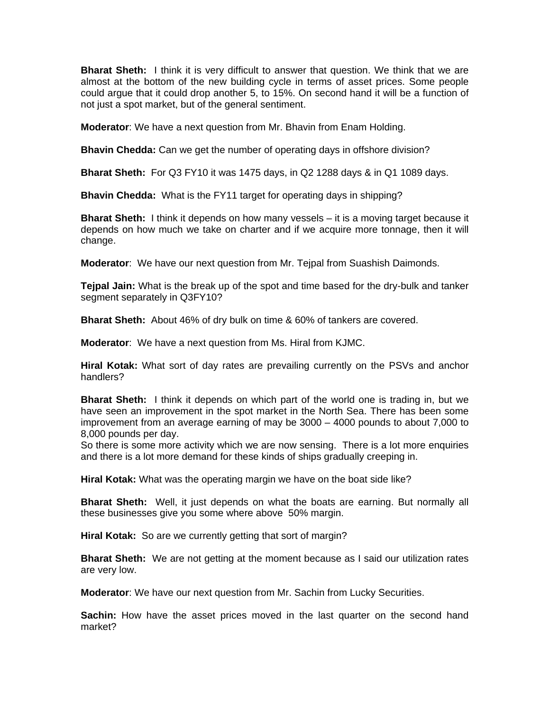**Bharat Sheth:** I think it is very difficult to answer that question. We think that we are almost at the bottom of the new building cycle in terms of asset prices. Some people could argue that it could drop another 5, to 15%. On second hand it will be a function of not just a spot market, but of the general sentiment.

**Moderator**: We have a next question from Mr. Bhavin from Enam Holding.

**Bhavin Chedda:** Can we get the number of operating days in offshore division?

**Bharat Sheth:** For Q3 FY10 it was 1475 days, in Q2 1288 days & in Q1 1089 days.

**Bhavin Chedda:** What is the FY11 target for operating days in shipping?

**Bharat Sheth:** I think it depends on how many vessels – it is a moving target because it depends on how much we take on charter and if we acquire more tonnage, then it will change.

**Moderator**: We have our next question from Mr. Tejpal from Suashish Daimonds.

**Tejpal Jain:** What is the break up of the spot and time based for the dry-bulk and tanker segment separately in Q3FY10?

**Bharat Sheth:** About 46% of dry bulk on time & 60% of tankers are covered.

**Moderator**: We have a next question from Ms. Hiral from KJMC.

**Hiral Kotak:** What sort of day rates are prevailing currently on the PSVs and anchor handlers?

**Bharat Sheth:** I think it depends on which part of the world one is trading in, but we have seen an improvement in the spot market in the North Sea. There has been some improvement from an average earning of may be 3000 – 4000 pounds to about 7,000 to 8,000 pounds per day.

So there is some more activity which we are now sensing. There is a lot more enquiries and there is a lot more demand for these kinds of ships gradually creeping in.

**Hiral Kotak:** What was the operating margin we have on the boat side like?

**Bharat Sheth:** Well, it just depends on what the boats are earning. But normally all these businesses give you some where above 50% margin.

**Hiral Kotak:** So are we currently getting that sort of margin?

**Bharat Sheth:** We are not getting at the moment because as I said our utilization rates are very low.

**Moderator**: We have our next question from Mr. Sachin from Lucky Securities.

**Sachin:** How have the asset prices moved in the last quarter on the second hand market?